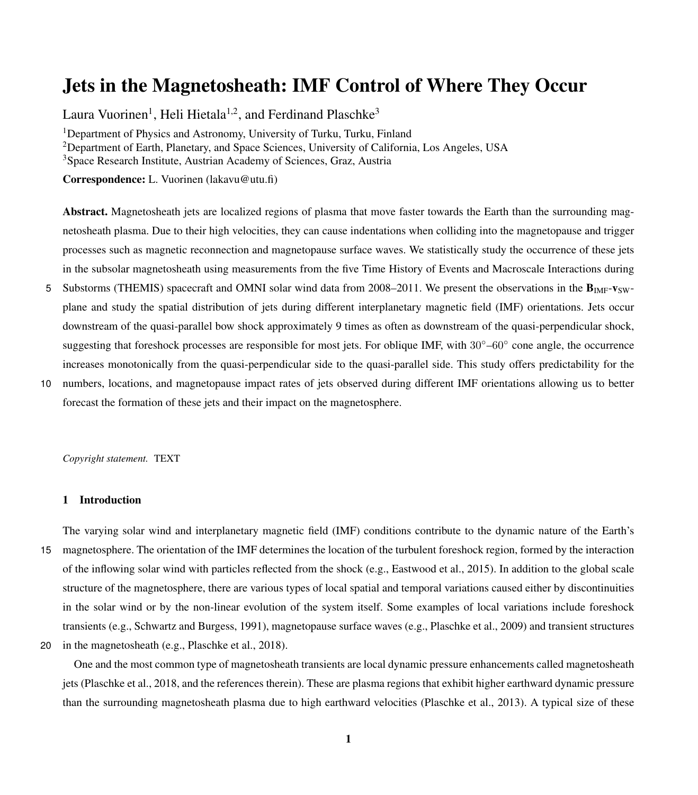# Jets in the Magnetosheath: IMF Control of Where They Occur

Laura Vuorinen<sup>1</sup>, Heli Hietala<sup>1,2</sup>, and Ferdinand Plaschke<sup>3</sup>

<sup>1</sup>Department of Physics and Astronomy, University of Turku, Turku, Finland <sup>2</sup>Department of Earth, Planetary, and Space Sciences, University of California, Los Angeles, USA <sup>3</sup>Space Research Institute, Austrian Academy of Sciences, Graz, Austria

Correspondence: L. Vuorinen (lakavu@utu.fi)

Abstract. Magnetosheath jets are localized regions of plasma that move faster towards the Earth than the surrounding magnetosheath plasma. Due to their high velocities, they can cause indentations when colliding into the magnetopause and trigger processes such as magnetic reconnection and magnetopause surface waves. We statistically study the occurrence of these jets in the subsolar magnetosheath using measurements from the five Time History of Events and Macroscale Interactions during

- 5 Substorms (THEMIS) spacecraft and OMNI solar wind data from 2008–2011. We present the observations in the  $B_{\text{IMF}}-V_{\text{SW}}$ plane and study the spatial distribution of jets during different interplanetary magnetic field (IMF) orientations. Jets occur downstream of the quasi-parallel bow shock approximately 9 times as often as downstream of the quasi-perpendicular shock, suggesting that foreshock processes are responsible for most jets. For oblique IMF, with 30°–60° cone angle, the occurrence increases monotonically from the quasi-perpendicular side to the quasi-parallel side. This study offers predictability for the
- 10 numbers, locations, and magnetopause impact rates of jets observed during different IMF orientations allowing us to better forecast the formation of these jets and their impact on the magnetosphere.

*Copyright statement.* TEXT

# 1 Introduction

The varying solar wind and interplanetary magnetic field (IMF) conditions contribute to the dynamic nature of the Earth's 15 magnetosphere. The orientation of the IMF determines the location of the turbulent foreshock region, formed by the interaction of the inflowing solar wind with particles reflected from the shock (e.g., [Eastwood et al., 2015\)](#page-12-0). In addition to the global scale structure of the magnetosphere, there are various types of local spatial and temporal variations caused either by discontinuities in the solar wind or by the non-linear evolution of the system itself. Some examples of local variations include foreshock transients (e.g., [Schwartz and Burgess, 1991\)](#page-13-0), magnetopause surface waves (e.g., [Plaschke et al., 2009\)](#page-13-1) and transient structures 20 in the magnetosheath (e.g., [Plaschke et al., 2018\)](#page-13-2).

One and the most common type of magnetosheath transients are local dynamic pressure enhancements called magnetosheath jets [\(Plaschke et al., 2018,](#page-13-2) and the references therein). These are plasma regions that exhibit higher earthward dynamic pressure than the surrounding magnetosheath plasma due to high earthward velocities [\(Plaschke et al., 2013\)](#page-13-3). A typical size of these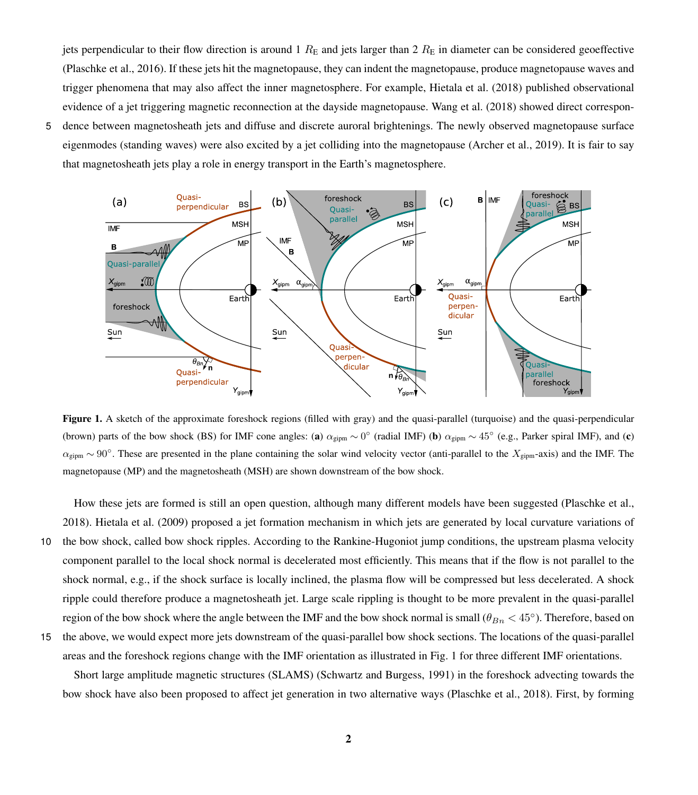jets perpendicular to their flow direction is around 1  $R<sub>E</sub>$  and jets larger than 2  $R<sub>E</sub>$  in diameter can be considered geoeffective [\(Plaschke et al., 2016\)](#page-13-4). If these jets hit the magnetopause, they can indent the magnetopause, produce magnetopause waves and trigger phenomena that may also affect the inner magnetosphere. For example, [Hietala et al.](#page-12-1) [\(2018\)](#page-12-1) published observational evidence of a jet triggering magnetic reconnection at the dayside magnetopause. [Wang et al.](#page-13-5) [\(2018\)](#page-13-5) showed direct correspon-

5 dence between magnetosheath jets and diffuse and discrete auroral brightenings. The newly observed magnetopause surface eigenmodes (standing waves) were also excited by a jet colliding into the magnetopause [\(Archer et al., 2019\)](#page-12-2). It is fair to say that magnetosheath jets play a role in energy transport in the Earth's magnetosphere.

<span id="page-1-0"></span>

Figure 1. A sketch of the approximate foreshock regions (filled with gray) and the quasi-parallel (turquoise) and the quasi-perpendicular (brown) parts of the bow shock (BS) for IMF cone angles: (a)  $\alpha_{\text{gipm}} \sim 0^{\circ}$  (radial IMF) (b)  $\alpha_{\text{gipm}} \sim 45^{\circ}$  (e.g., Parker spiral IMF), and (c)  $\alpha_{\text{gipm}} \sim 90^{\circ}$ . These are presented in the plane containing the solar wind velocity vector (anti-parallel to the  $X_{\text{gipm}}$ -axis) and the IMF. The magnetopause (MP) and the magnetosheath (MSH) are shown downstream of the bow shock.

How these jets are formed is still an open question, although many different models have been suggested [\(Plaschke et al.,](#page-13-2) [2018\)](#page-13-2). [Hietala et al.](#page-12-3) [\(2009\)](#page-12-3) proposed a jet formation mechanism in which jets are generated by local curvature variations of 10 the bow shock, called bow shock ripples. According to the Rankine-Hugoniot jump conditions, the upstream plasma velocity component parallel to the local shock normal is decelerated most efficiently. This means that if the flow is not parallel to the shock normal, e.g., if the shock surface is locally inclined, the plasma flow will be compressed but less decelerated. A shock ripple could therefore produce a magnetosheath jet. Large scale rippling is thought to be more prevalent in the quasi-parallel region of the bow shock where the angle between the IMF and the bow shock normal is small ( $\theta_{Bn}$  < 45°). Therefore, based on

15 the above, we would expect more jets downstream of the quasi-parallel bow shock sections. The locations of the quasi-parallel areas and the foreshock regions change with the IMF orientation as illustrated in Fig. [1](#page-1-0) for three different IMF orientations.

Short large amplitude magnetic structures (SLAMS) [\(Schwartz and Burgess, 1991\)](#page-13-0) in the foreshock advecting towards the bow shock have also been proposed to affect jet generation in two alternative ways [\(Plaschke et al., 2018\)](#page-13-2). First, by forming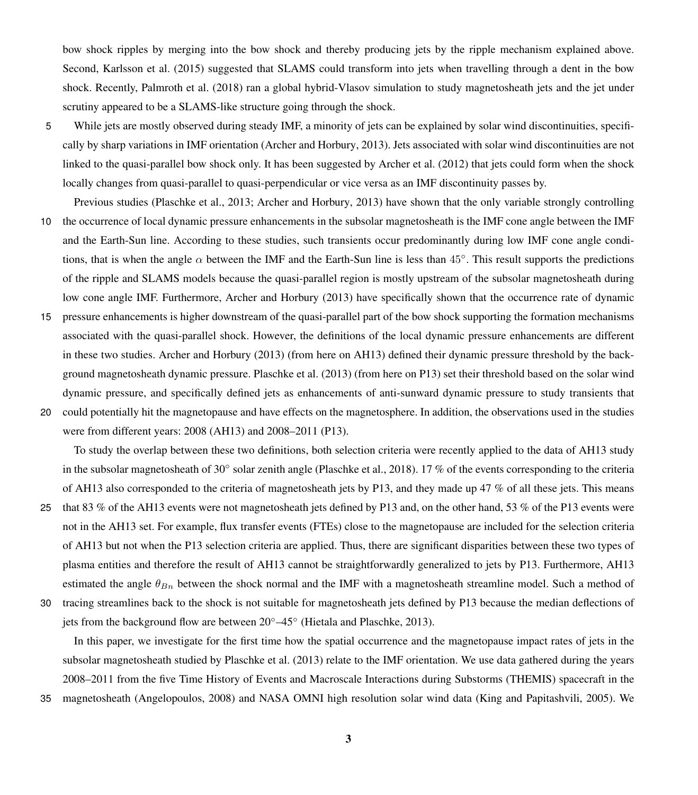bow shock ripples by merging into the bow shock and thereby producing jets by the ripple mechanism explained above. Second, [Karlsson et al.](#page-12-4) [\(2015\)](#page-12-4) suggested that SLAMS could transform into jets when travelling through a dent in the bow shock. Recently, [Palmroth et al.](#page-12-5) [\(2018\)](#page-12-5) ran a global hybrid-Vlasov simulation to study magnetosheath jets and the jet under scrutiny appeared to be a SLAMS-like structure going through the shock.

- 5 While jets are mostly observed during steady IMF, a minority of jets can be explained by solar wind discontinuities, specifically by sharp variations in IMF orientation [\(Archer and Horbury, 2013\)](#page-12-6). Jets associated with solar wind discontinuities are not linked to the quasi-parallel bow shock only. It has been suggested by [Archer et al.](#page-12-7) [\(2012\)](#page-12-7) that jets could form when the shock locally changes from quasi-parallel to quasi-perpendicular or vice versa as an IMF discontinuity passes by.
- Previous studies [\(Plaschke et al., 2013;](#page-13-3) [Archer and Horbury, 2013\)](#page-12-6) have shown that the only variable strongly controlling 10 the occurrence of local dynamic pressure enhancements in the subsolar magnetosheath is the IMF cone angle between the IMF and the Earth-Sun line. According to these studies, such transients occur predominantly during low IMF cone angle conditions, that is when the angle  $\alpha$  between the IMF and the Earth-Sun line is less than 45°. This result supports the predictions of the ripple and SLAMS models because the quasi-parallel region is mostly upstream of the subsolar magnetosheath during

low cone angle IMF. Furthermore, [Archer and Horbury](#page-12-6) [\(2013\)](#page-12-6) have specifically shown that the occurrence rate of dynamic

- 15 pressure enhancements is higher downstream of the quasi-parallel part of the bow shock supporting the formation mechanisms associated with the quasi-parallel shock. However, the definitions of the local dynamic pressure enhancements are different in these two studies. [Archer and Horbury](#page-12-6) [\(2013\)](#page-12-6) (from here on AH13) defined their dynamic pressure threshold by the background magnetosheath dynamic pressure. [Plaschke et al.](#page-13-3) [\(2013\)](#page-13-3) (from here on P13) set their threshold based on the solar wind dynamic pressure, and specifically defined jets as enhancements of anti-sunward dynamic pressure to study transients that
- 20 could potentially hit the magnetopause and have effects on the magnetosphere. In addition, the observations used in the studies were from different years: 2008 (AH13) and 2008–2011 (P13).

To study the overlap between these two definitions, both selection criteria were recently applied to the data of AH13 study in the subsolar magnetosheath of 30° solar zenith angle [\(Plaschke et al., 2018\)](#page-13-2). 17 % of the events corresponding to the criteria of AH13 also corresponded to the criteria of magnetosheath jets by P13, and they made up 47 % of all these jets. This means

- 25 that 83 % of the AH13 events were not magnetosheath jets defined by P13 and, on the other hand, 53 % of the P13 events were not in the AH13 set. For example, flux transfer events (FTEs) close to the magnetopause are included for the selection criteria of AH13 but not when the P13 selection criteria are applied. Thus, there are significant disparities between these two types of plasma entities and therefore the result of AH13 cannot be straightforwardly generalized to jets by P13. Furthermore, AH13 estimated the angle  $\theta_{B_n}$  between the shock normal and the IMF with a magnetosheath streamline model. Such a method of
- 30 tracing streamlines back to the shock is not suitable for magnetosheath jets defined by P13 because the median deflections of jets from the background flow are between 20◦–45◦ [\(Hietala and Plaschke, 2013\)](#page-12-8).

In this paper, we investigate for the first time how the spatial occurrence and the magnetopause impact rates of jets in the subsolar magnetosheath studied by [Plaschke et al.](#page-13-3) [\(2013\)](#page-13-3) relate to the IMF orientation. We use data gathered during the years 2008–2011 from the five Time History of Events and Macroscale Interactions during Substorms (THEMIS) spacecraft in the

35 magnetosheath [\(Angelopoulos, 2008\)](#page-12-9) and NASA OMNI high resolution solar wind data [\(King and Papitashvili, 2005\)](#page-12-10). We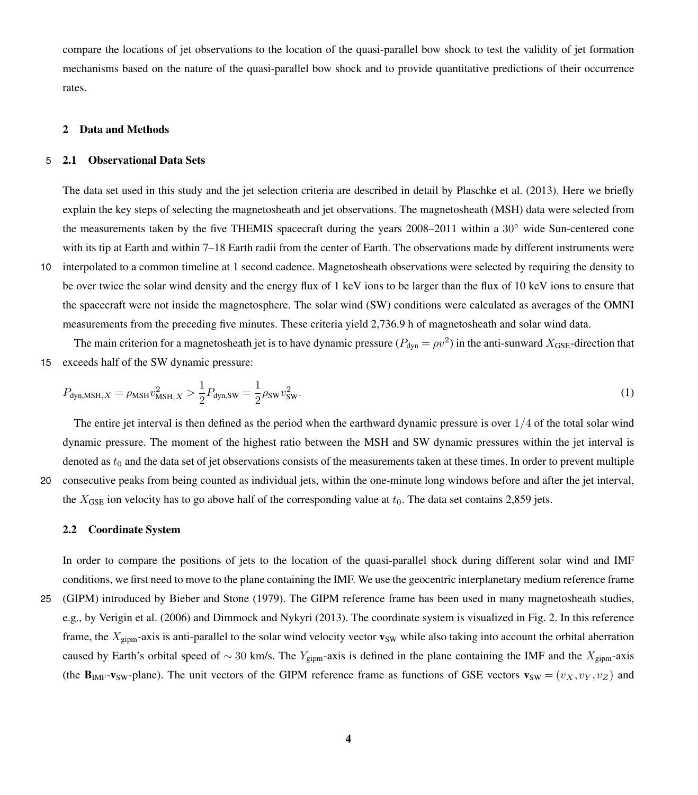compare the locations of jet observations to the location of the quasi-parallel bow shock to test the validity of jet formation mechanisms based on the nature of the quasi-parallel bow shock and to provide quantitative predictions of their occurrence rates.

# 2 Data and Methods

#### 5 2.1 Observational Data Sets

The data set used in this study and the jet selection criteria are described in detail by [Plaschke et al.](#page-13-3) [\(2013\)](#page-13-3). Here we briefly explain the key steps of selecting the magnetosheath and jet observations. The magnetosheath (MSH) data were selected from the measurements taken by the five THEMIS spacecraft during the years  $2008-2011$  within a  $30°$  wide Sun-centered cone with its tip at Earth and within 7–18 Earth radii from the center of Earth. The observations made by different instruments were

10 interpolated to a common timeline at 1 second cadence. Magnetosheath observations were selected by requiring the density to be over twice the solar wind density and the energy flux of 1 keV ions to be larger than the flux of 10 keV ions to ensure that the spacecraft were not inside the magnetosphere. The solar wind (SW) conditions were calculated as averages of the OMNI measurements from the preceding five minutes. These criteria yield 2,736.9 h of magnetosheath and solar wind data.

The main criterion for a magnetosheath jet is to have dynamic pressure ( $P_{dyn} = \rho v^2$ ) in the anti-sunward  $X_{GSE}$ -direction that 15 exceeds half of the SW dynamic pressure:

$$
P_{\text{dyn,MSH},X} = \rho_{\text{MSH}} v_{\text{MSH},X}^2 > \frac{1}{2} P_{\text{dyn,SW}} = \frac{1}{2} \rho_{\text{SW}} v_{\text{SW}}^2.
$$
\n(1)

The entire jet interval is then defined as the period when the earthward dynamic pressure is over  $1/4$  of the total solar wind dynamic pressure. The moment of the highest ratio between the MSH and SW dynamic pressures within the jet interval is denoted as  $t_0$  and the data set of jet observations consists of the measurements taken at these times. In order to prevent multiple 20 consecutive peaks from being counted as individual jets, within the one-minute long windows before and after the jet interval, the  $X_{GSE}$  ion velocity has to go above half of the corresponding value at  $t_0$ . The data set contains 2,859 jets.

#### 2.2 Coordinate System

In order to compare the positions of jets to the location of the quasi-parallel shock during different solar wind and IMF conditions, we first need to move to the plane containing the IMF. We use the geocentric interplanetary medium reference frame 25 (GIPM) introduced by [Bieber and Stone](#page-12-11) [\(1979\)](#page-12-11). The GIPM reference frame has been used in many magnetosheath studies, e.g., by [Verigin et al.](#page-13-6) [\(2006\)](#page-13-6) and [Dimmock and Nykyri](#page-12-12) [\(2013\)](#page-12-12). The coordinate system is visualized in Fig. [2.](#page-5-0) In this reference frame, the  $X_{\text{gipm}}$ -axis is anti-parallel to the solar wind velocity vector  $\mathbf{v}_{\text{SW}}$  while also taking into account the orbital aberration caused by Earth's orbital speed of ~ 30 km/s. The Y<sub>gipm</sub>-axis is defined in the plane containing the IMF and the X<sub>gipm</sub>-axis (the  $\mathbf{B}_{\text{IMF}}\text{-}\mathbf{v}_{\text{SW}}$ -plane). The unit vectors of the GIPM reference frame as functions of GSE vectors  $\mathbf{v}_{\text{SW}} = (v_X, v_Y, v_Z)$  and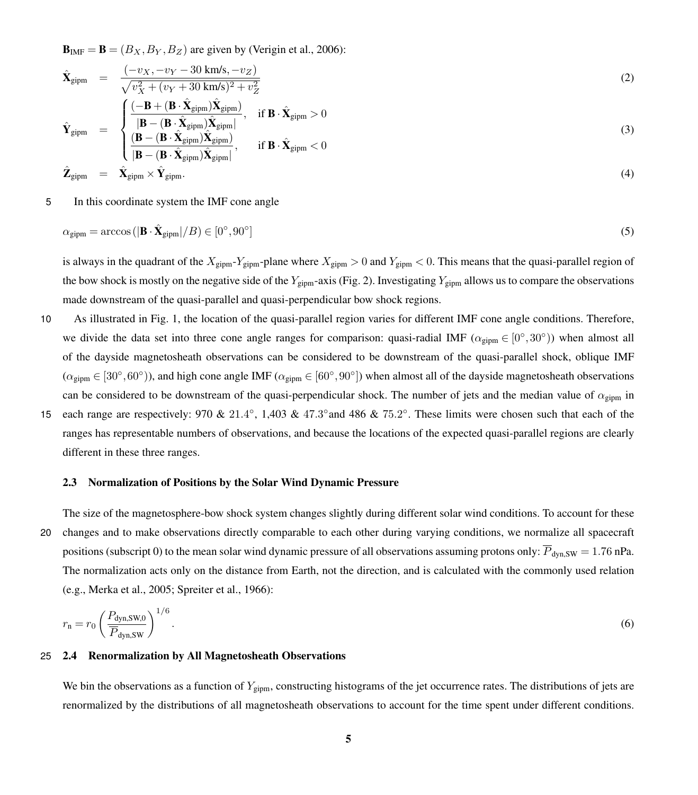**are given by [\(Verigin et al., 2006\)](#page-13-6):** 

$$
\hat{\mathbf{X}}_{\text{gipm}} = \frac{(-v_X, -v_Y - 30 \text{ km/s}, -v_Z)}{\sqrt{v_X^2 + (v_Y + 30 \text{ km/s})^2 + v_Z^2}}
$$
(2)

$$
\hat{\mathbf{Y}}_{\text{gipm}} = \begin{cases}\n\frac{(-\mathbf{B} + (\mathbf{B} \cdot \hat{\mathbf{X}}_{\text{gipm}}) \hat{\mathbf{X}}_{\text{gipm}}}{|\mathbf{B} - (\mathbf{B} \cdot \hat{\mathbf{X}}_{\text{gipm}}) \hat{\mathbf{X}}_{\text{gipm}}|}, & \text{if } \mathbf{B} \cdot \hat{\mathbf{X}}_{\text{gipm}} > 0 \\
\frac{(\mathbf{B} - (\mathbf{B} \cdot \hat{\mathbf{X}}_{\text{gipm}}) \hat{\mathbf{X}}_{\text{gipm}})}{|\mathbf{B} - (\mathbf{B} \cdot \hat{\mathbf{X}}_{\text{gipm}}) \hat{\mathbf{X}}_{\text{gipm}}|}, & \text{if } \mathbf{B} \cdot \hat{\mathbf{X}}_{\text{gipm}} < 0\n\end{cases}
$$
\n(3)

$$
\hat{\mathbf{Z}}_{\text{gipm}} = \hat{\mathbf{X}}_{\text{gipm}} \times \hat{\mathbf{Y}}_{\text{gipm}}.
$$
\n(4)

5 In this coordinate system the IMF cone angle

$$
\alpha_{\text{gipm}} = \arccos\left(|\mathbf{B} \cdot \hat{\mathbf{X}}_{\text{gipm}}| / B\right) \in [0^\circ, 90^\circ]
$$
\n<sup>(5)</sup>

is always in the quadrant of the  $X_{\text{gipm}}-Y_{\text{gipm}}$ -plane where  $X_{\text{gipm}} > 0$  and  $Y_{\text{gipm}} < 0$ . This means that the quasi-parallel region of the bow shock is mostly on the negative side of the  $Y_{\text{gipm}}$ -axis (Fig. [2\)](#page-5-0). Investigating  $Y_{\text{gipm}}$  allows us to compare the observations made downstream of the quasi-parallel and quasi-perpendicular bow shock regions.

- 10 As illustrated in Fig. [1,](#page-1-0) the location of the quasi-parallel region varies for different IMF cone angle conditions. Therefore, we divide the data set into three cone angle ranges for comparison: quasi-radial IMF ( $\alpha_{\text{gipm}} \in [0^{\circ}, 30^{\circ})$ ) when almost all of the dayside magnetosheath observations can be considered to be downstream of the quasi-parallel shock, oblique IMF  $(\alpha_{\text{gipm}} \in [30^\circ, 60^\circ])$ , and high cone angle IMF  $(\alpha_{\text{gipm}} \in [60^\circ, 90^\circ])$  when almost all of the dayside magnetosheath observations can be considered to be downstream of the quasi-perpendicular shock. The number of jets and the median value of  $\alpha_{\text{sim}}$  in 15 each range are respectively:  $970 \& 21.4^{\circ}$ , 1,403 &  $47.3^{\circ}$  and 486 &  $75.2^{\circ}$ . These limits were chosen such that each of the
- ranges has representable numbers of observations, and because the locations of the expected quasi-parallel regions are clearly different in these three ranges.

#### 2.3 Normalization of Positions by the Solar Wind Dynamic Pressure

The size of the magnetosphere-bow shock system changes slightly during different solar wind conditions. To account for these 20 changes and to make observations directly comparable to each other during varying conditions, we normalize all spacecraft positions (subscript 0) to the mean solar wind dynamic pressure of all observations assuming protons only:  $\overline{P}_{dyn,SW} = 1.76$  nPa. The normalization acts only on the distance from Earth, not the direction, and is calculated with the commonly used relation (e.g., [Merka et al., 2005;](#page-12-13) [Spreiter et al., 1966\)](#page-13-7):

<span id="page-4-0"></span>
$$
r_{\rm n} = r_0 \left(\frac{P_{\rm dyn,SW,0}}{\overline{P}_{\rm dyn,SW}}\right)^{1/6}.\tag{6}
$$

# 25 2.4 Renormalization by All Magnetosheath Observations

We bin the observations as a function of  $Y_{\text{sim}}$ , constructing histograms of the jet occurrence rates. The distributions of jets are renormalized by the distributions of all magnetosheath observations to account for the time spent under different conditions.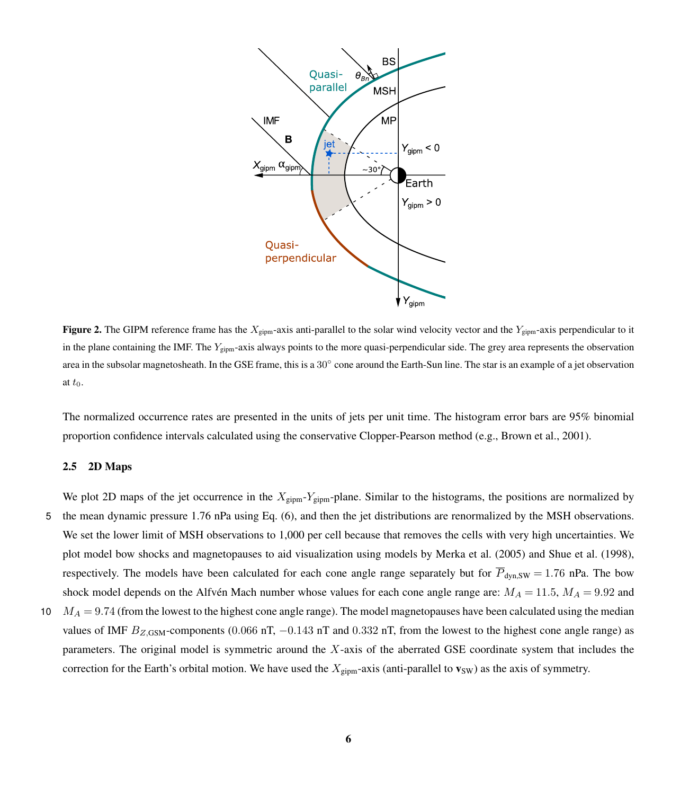<span id="page-5-0"></span>

Figure 2. The GIPM reference frame has the  $X_{\text{gipm}}$ -axis anti-parallel to the solar wind velocity vector and the  $Y_{\text{gipm}}$ -axis perpendicular to it in the plane containing the IMF. The  $Y_{\text{eism}}$ -axis always points to the more quasi-perpendicular side. The grey area represents the observation area in the subsolar magnetosheath. In the GSE frame, this is a 30° cone around the Earth-Sun line. The star is an example of a jet observation at  $t_0$ .

The normalized occurrence rates are presented in the units of jets per unit time. The histogram error bars are 95% binomial proportion confidence intervals calculated using the conservative Clopper-Pearson method (e.g., [Brown et al., 2001\)](#page-12-14).

#### 2.5 2D Maps

We plot 2D maps of the jet occurrence in the  $X_{\text{gipm}}-Y_{\text{gipm}}-$ plane. Similar to the histograms, the positions are normalized by

- 5 the mean dynamic pressure 1.76 nPa using Eq. [\(6\)](#page-4-0), and then the jet distributions are renormalized by the MSH observations. We set the lower limit of MSH observations to 1,000 per cell because that removes the cells with very high uncertainties. We plot model bow shocks and magnetopauses to aid visualization using models by [Merka et al.](#page-12-13) [\(2005\)](#page-12-13) and [Shue et al.](#page-13-8) [\(1998\)](#page-13-8), respectively. The models have been calculated for each cone angle range separately but for  $\overline{P}_{dyn,SW} = 1.76$  nPa. The bow shock model depends on the Alfvén Mach number whose values for each cone angle range are:  $M_A = 11.5$ ,  $M_A = 9.92$  and
- 10  $M_A = 9.74$  (from the lowest to the highest cone angle range). The model magnetopauses have been calculated using the median values of IMF  $B_{Z,IGSM}$ -components (0.066 nT, -0.143 nT and 0.332 nT, from the lowest to the highest cone angle range) as parameters. The original model is symmetric around the X-axis of the aberrated GSE coordinate system that includes the correction for the Earth's orbital motion. We have used the  $X_{\text{gipm}}$ -axis (anti-parallel to  $\mathbf{v}_{\text{SW}}$ ) as the axis of symmetry.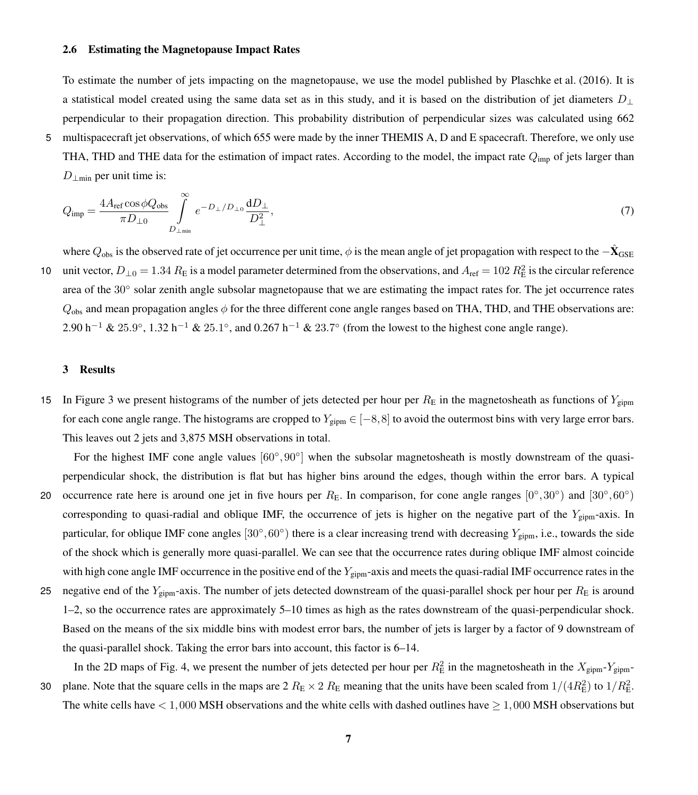## 2.6 Estimating the Magnetopause Impact Rates

To estimate the number of jets impacting on the magnetopause, we use the model published by [Plaschke et al.](#page-13-4) [\(2016\)](#page-13-4). It is a statistical model created using the same data set as in this study, and it is based on the distribution of jet diameters  $D_{\perp}$ perpendicular to their propagation direction. This probability distribution of perpendicular sizes was calculated using 662

5 multispacecraft jet observations, of which 655 were made by the inner THEMIS A, D and E spacecraft. Therefore, we only use THA, THD and THE data for the estimation of impact rates. According to the model, the impact rate  $Q_{\text{imp}}$  of jets larger than  $D_{\perp m i n}$  per unit time is:

$$
Q_{\rm imp} = \frac{4A_{\rm ref} \cos \phi Q_{\rm obs}}{\pi D_{\perp 0}} \int_{D_{\perp \rm min}}^{\infty} e^{-D_{\perp}/D_{\perp 0}} \frac{dD_{\perp}}{D_{\perp}^2},\tag{7}
$$

where  $Q_{\rm obs}$  is the observed rate of jet occurrence per unit time,  $\phi$  is the mean angle of jet propagation with respect to the  $-\hat{\bf X}_{\rm GSE}$ 10 unit vector,  $D_{\perp 0} = 1.34 R_E$  is a model parameter determined from the observations, and  $A_{ref} = 102 R_E^2$  is the circular reference area of the 30° solar zenith angle subsolar magnetopause that we are estimating the impact rates for. The jet occurrence rates  $Q_{obs}$  and mean propagation angles  $\phi$  for the three different cone angle ranges based on THA, THD, and THE observations are: 2.90 h<sup>-1</sup> & 25.9°, 1.32 h<sup>-1</sup> & 25.1°, and 0.267 h<sup>-1</sup> & 23.7° (from the lowest to the highest cone angle range).

# 3 Results

15 In Figure [3](#page-7-0) we present histograms of the number of jets detected per hour per  $R<sub>E</sub>$  in the magnetosheath as functions of  $Y<sub>zipm</sub>$ for each cone angle range. The histograms are cropped to  $Y_{\text{sim}} \in [-8, 8]$  to avoid the outermost bins with very large error bars. This leaves out 2 jets and 3,875 MSH observations in total.

For the highest IMF cone angle values  $[60^\circ, 90^\circ]$  when the subsolar magnetosheath is mostly downstream of the quasiperpendicular shock, the distribution is flat but has higher bins around the edges, though within the error bars. A typical 20 occurrence rate here is around one jet in five hours per  $R_E$ . In comparison, for cone angle ranges  $[0^\circ, 30^\circ)$  and  $[30^\circ, 60^\circ)$ corresponding to quasi-radial and oblique IMF, the occurrence of jets is higher on the negative part of the  $Y_{\text{gipm}}$ -axis. In particular, for oblique IMF cone angles  $[30^\circ, 60^\circ)$  there is a clear increasing trend with decreasing  $Y_{\text{gipm}}$ , i.e., towards the side of the shock which is generally more quasi-parallel. We can see that the occurrence rates during oblique IMF almost coincide

with high cone angle IMF occurrence in the positive end of the  $Y_{\text{gipm}}$ -axis and meets the quasi-radial IMF occurrence rates in the 25 negative end of the  $Y_{\text{gipm}}$ -axis. The number of jets detected downstream of the quasi-parallel shock per hour per  $R_{\text{E}}$  is around 1–2, so the occurrence rates are approximately 5–10 times as high as the rates downstream of the quasi-perpendicular shock. Based on the means of the six middle bins with modest error bars, the number of jets is larger by a factor of 9 downstream of the quasi-parallel shock. Taking the error bars into account, this factor is 6–14.

In the 2D maps of Fig. [4,](#page-7-1) we present the number of jets detected per hour per  $R_E^2$  in the magnetosheath in the  $X_{\text{gipm}}-Y_{\text{gipm}}$ 

30 plane. Note that the square cells in the maps are  $2 R_E \times 2 R_E$  meaning that the units have been scaled from  $1/(4R_E^2)$  to  $1/R_E^2$ . The white cells have  $< 1,000$  MSH observations and the white cells with dashed outlines have  $\geq 1,000$  MSH observations but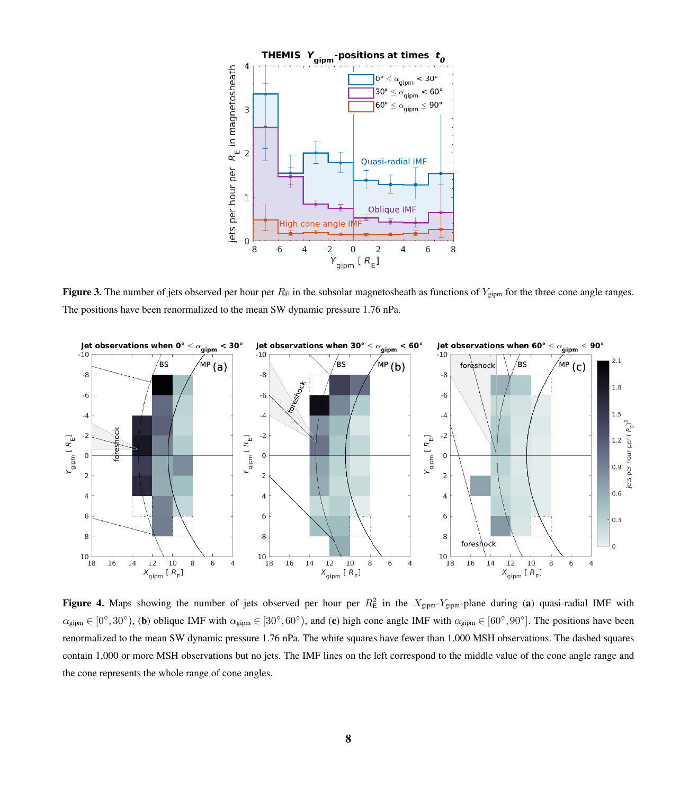<span id="page-7-0"></span>

Figure 3. The number of jets observed per hour per  $R_E$  in the subsolar magnetosheath as functions of  $Y_{gipm}$  for the three cone angle ranges. The positions have been renormalized to the mean SW dynamic pressure 1.76 nPa.

<span id="page-7-1"></span>

**Figure 4.** Maps showing the number of jets observed per hour per  $R_E^2$  in the  $X_{\text{gipm}}-Y_{\text{gipm}}$ -plane during (a) quasi-radial IMF with  $\alpha_{\text{gipm}} \in [0^{\circ}, 30^{\circ})$ , (b) oblique IMF with  $\alpha_{\text{gipm}} \in [30^{\circ}, 60^{\circ})$ , and (c) high cone angle IMF with  $\alpha_{\text{gipm}} \in [60^{\circ}, 90^{\circ}]$ . The positions have been renormalized to the mean SW dynamic pressure 1.76 nPa. The white squares have fewer than 1,000 MSH observations. The dashed squares contain 1,000 or more MSH observations but no jets. The IMF lines on the left correspond to the middle value of the cone angle range and the cone represents the whole range of cone angles.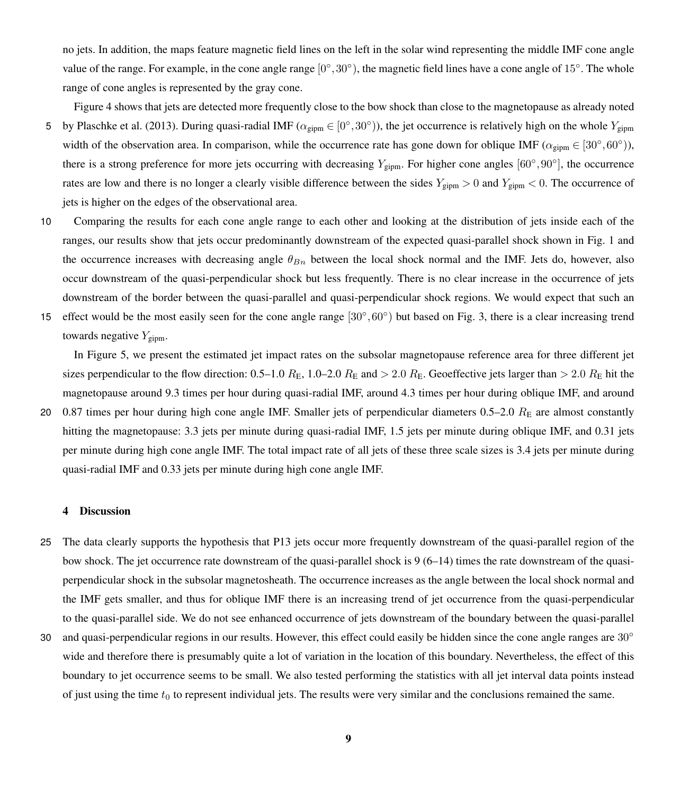no jets. In addition, the maps feature magnetic field lines on the left in the solar wind representing the middle IMF cone angle value of the range. For example, in the cone angle range  $[0^\circ, 30^\circ)$ , the magnetic field lines have a cone angle of 15°. The whole range of cone angles is represented by the gray cone.

- Figure [4](#page-7-1) shows that jets are detected more frequently close to the bow shock than close to the magnetopause as already noted 5 by [Plaschke et al.](#page-13-3) [\(2013\)](#page-13-3). During quasi-radial IMF ( $\alpha_{\text{gipm}} \in [0^{\circ}, 30^{\circ})$ ), the jet occurrence is relatively high on the whole  $Y_{\text{gipm}}$ width of the observation area. In comparison, while the occurrence rate has gone down for oblique IMF ( $\alpha_{\text{gipm}} \in [30^{\circ}, 60^{\circ})$ ), there is a strong preference for more jets occurring with decreasing  $Y_{\text{gipm}}$ . For higher cone angles  $[60^{\circ}, 90^{\circ}]$ , the occurrence rates are low and there is no longer a clearly visible difference between the sides  $Y_{\text{gipm}} > 0$  and  $Y_{\text{gipm}} < 0$ . The occurrence of jets is higher on the edges of the observational area.
- 10 Comparing the results for each cone angle range to each other and looking at the distribution of jets inside each of the ranges, our results show that jets occur predominantly downstream of the expected quasi-parallel shock shown in Fig. [1](#page-1-0) and the occurrence increases with decreasing angle  $\theta_{Bn}$  between the local shock normal and the IMF. Jets do, however, also occur downstream of the quasi-perpendicular shock but less frequently. There is no clear increase in the occurrence of jets downstream of the border between the quasi-parallel and quasi-perpendicular shock regions. We would expect that such an
- 15 effect would be the most easily seen for the cone angle range  $[30^\circ, 60^\circ)$  but based on Fig. [3,](#page-7-0) there is a clear increasing trend towards negative  $Y_{\text{sim}}$ .

In Figure [5,](#page-9-0) we present the estimated jet impact rates on the subsolar magnetopause reference area for three different jet sizes perpendicular to the flow direction: 0.5–1.0  $R_{\rm E}$ , 1.0–2.0  $R_{\rm E}$  and > 2.0  $R_{\rm E}$ . Geoeffective jets larger than > 2.0  $R_{\rm E}$  hit the magnetopause around 9.3 times per hour during quasi-radial IMF, around 4.3 times per hour during oblique IMF, and around 20 0.87 times per hour during high cone angle IMF. Smaller jets of perpendicular diameters  $0.5-2.0 R<sub>E</sub>$  are almost constantly hitting the magnetopause: 3.3 jets per minute during quasi-radial IMF, 1.5 jets per minute during oblique IMF, and 0.31 jets per minute during high cone angle IMF. The total impact rate of all jets of these three scale sizes is 3.4 jets per minute during quasi-radial IMF and 0.33 jets per minute during high cone angle IMF.

# 4 Discussion

- 25 The data clearly supports the hypothesis that P13 jets occur more frequently downstream of the quasi-parallel region of the bow shock. The jet occurrence rate downstream of the quasi-parallel shock is 9 (6–14) times the rate downstream of the quasiperpendicular shock in the subsolar magnetosheath. The occurrence increases as the angle between the local shock normal and the IMF gets smaller, and thus for oblique IMF there is an increasing trend of jet occurrence from the quasi-perpendicular to the quasi-parallel side. We do not see enhanced occurrence of jets downstream of the boundary between the quasi-parallel
- and quasi-perpendicular regions in our results. However, this effect could easily be hidden since the cone angle ranges are 30° 30 wide and therefore there is presumably quite a lot of variation in the location of this boundary. Nevertheless, the effect of this boundary to jet occurrence seems to be small. We also tested performing the statistics with all jet interval data points instead of just using the time  $t_0$  to represent individual jets. The results were very similar and the conclusions remained the same.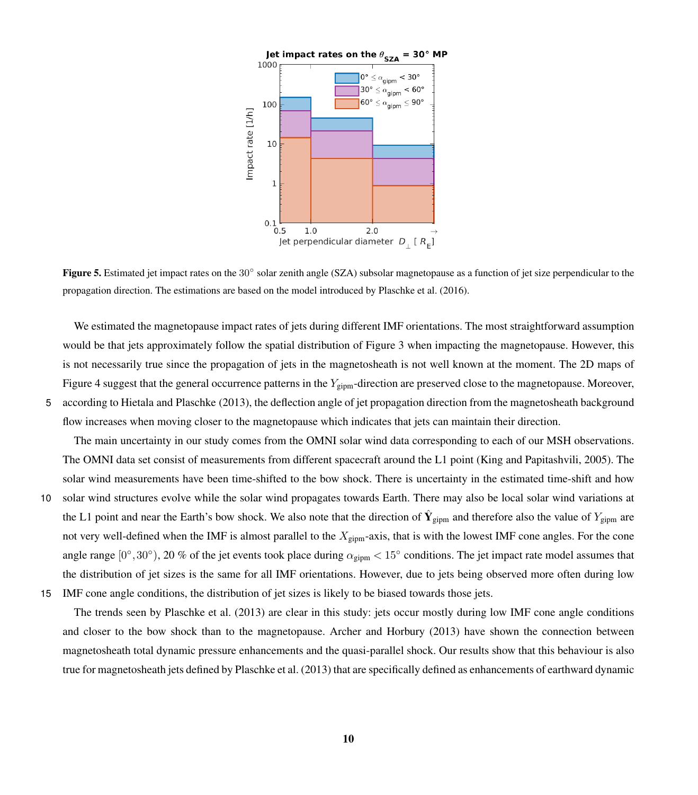<span id="page-9-0"></span>

Figure 5. Estimated jet impact rates on the  $30°$  solar zenith angle (SZA) subsolar magnetopause as a function of jet size perpendicular to the propagation direction. The estimations are based on the model introduced by [Plaschke et al.](#page-13-4) [\(2016\)](#page-13-4).

We estimated the magnetopause impact rates of jets during different IMF orientations. The most straightforward assumption would be that jets approximately follow the spatial distribution of Figure [3](#page-7-0) when impacting the magnetopause. However, this is not necessarily true since the propagation of jets in the magnetosheath is not well known at the moment. The 2D maps of Figure [4](#page-7-1) suggest that the general occurrence patterns in the  $Y_{\text{sim}}$ -direction are preserved close to the magnetopause. Moreover, 5 according to [Hietala and Plaschke](#page-12-8) [\(2013\)](#page-12-8), the deflection angle of jet propagation direction from the magnetosheath background flow increases when moving closer to the magnetopause which indicates that jets can maintain their direction.

The main uncertainty in our study comes from the OMNI solar wind data corresponding to each of our MSH observations. The OMNI data set consist of measurements from different spacecraft around the L1 point [\(King and Papitashvili, 2005\)](#page-12-10). The solar wind measurements have been time-shifted to the bow shock. There is uncertainty in the estimated time-shift and how 10 solar wind structures evolve while the solar wind propagates towards Earth. There may also be local solar wind variations at the L1 point and near the Earth's bow shock. We also note that the direction of  $\hat{Y}_{gipm}$  and therefore also the value of  $Y_{gipm}$  are not very well-defined when the IMF is almost parallel to the  $X_{\text{gipm}}$ -axis, that is with the lowest IMF cone angles. For the cone angle range  $[0^\circ, 30^\circ)$ , 20 % of the jet events took place during  $\alpha_{\text{gipm}} < 15^\circ$  conditions. The jet impact rate model assumes that the distribution of jet sizes is the same for all IMF orientations. However, due to jets being observed more often during low 15 IMF cone angle conditions, the distribution of jet sizes is likely to be biased towards those jets.

The trends seen by [Plaschke et al.](#page-13-3) [\(2013\)](#page-13-3) are clear in this study: jets occur mostly during low IMF cone angle conditions and closer to the bow shock than to the magnetopause. [Archer and Horbury](#page-12-6) [\(2013\)](#page-12-6) have shown the connection between magnetosheath total dynamic pressure enhancements and the quasi-parallel shock. Our results show that this behaviour is also

true for magnetosheath jets defined by [Plaschke et al.](#page-13-3) [\(2013\)](#page-13-3) that are specifically defined as enhancements of earthward dynamic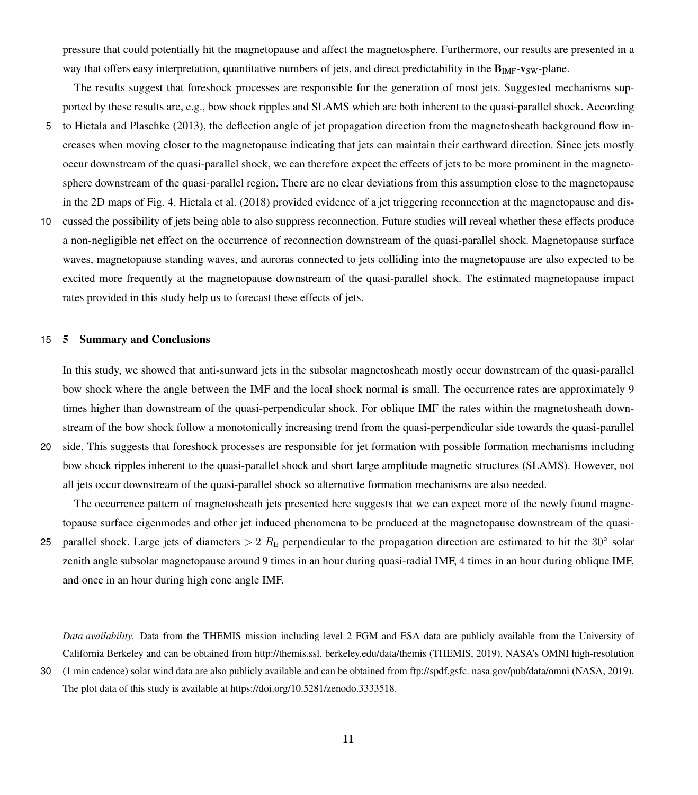pressure that could potentially hit the magnetopause and affect the magnetosphere. Furthermore, our results are presented in a way that offers easy interpretation, quantitative numbers of jets, and direct predictability in the  $\mathbf{B}_{\text{IMF}}$ -v<sub>SW</sub>-plane.

The results suggest that foreshock processes are responsible for the generation of most jets. Suggested mechanisms supported by these results are, e.g., bow shock ripples and SLAMS which are both inherent to the quasi-parallel shock. According

- 5 to [Hietala and Plaschke](#page-12-8) [\(2013\)](#page-12-8), the deflection angle of jet propagation direction from the magnetosheath background flow increases when moving closer to the magnetopause indicating that jets can maintain their earthward direction. Since jets mostly occur downstream of the quasi-parallel shock, we can therefore expect the effects of jets to be more prominent in the magnetosphere downstream of the quasi-parallel region. There are no clear deviations from this assumption close to the magnetopause in the 2D maps of Fig. [4.](#page-7-1) [Hietala et al.](#page-12-1) [\(2018\)](#page-12-1) provided evidence of a jet triggering reconnection at the magnetopause and dis-
- 10 cussed the possibility of jets being able to also suppress reconnection. Future studies will reveal whether these effects produce a non-negligible net effect on the occurrence of reconnection downstream of the quasi-parallel shock. Magnetopause surface waves, magnetopause standing waves, and auroras connected to jets colliding into the magnetopause are also expected to be excited more frequently at the magnetopause downstream of the quasi-parallel shock. The estimated magnetopause impact rates provided in this study help us to forecast these effects of jets.

## 15 5 Summary and Conclusions

In this study, we showed that anti-sunward jets in the subsolar magnetosheath mostly occur downstream of the quasi-parallel bow shock where the angle between the IMF and the local shock normal is small. The occurrence rates are approximately 9 times higher than downstream of the quasi-perpendicular shock. For oblique IMF the rates within the magnetosheath downstream of the bow shock follow a monotonically increasing trend from the quasi-perpendicular side towards the quasi-parallel

20 side. This suggests that foreshock processes are responsible for jet formation with possible formation mechanisms including bow shock ripples inherent to the quasi-parallel shock and short large amplitude magnetic structures (SLAMS). However, not all jets occur downstream of the quasi-parallel shock so alternative formation mechanisms are also needed.

The occurrence pattern of magnetosheath jets presented here suggests that we can expect more of the newly found magnetopause surface eigenmodes and other jet induced phenomena to be produced at the magnetopause downstream of the quasi-25 parallel shock. Large jets of diameters  $> 2 R_E$  perpendicular to the propagation direction are estimated to hit the 30 $\degree$  solar zenith angle subsolar magnetopause around 9 times in an hour during quasi-radial IMF, 4 times in an hour during oblique IMF,

and once in an hour during high cone angle IMF.

*Data availability.* Data from the THEMIS mission including level 2 FGM and ESA data are publicly available from the University of California Berkeley and can be obtained from http://themis.ssl. berkeley.edu/data/themis (THEMIS, 2019). NASA's OMNI high-resolution

<sup>30</sup> (1 min cadence) solar wind data are also publicly available and can be obtained from ftp://spdf.gsfc. nasa.gov/pub/data/omni (NASA, 2019). The plot data of this study is available at https://doi.org/10.5281/zenodo.3333518.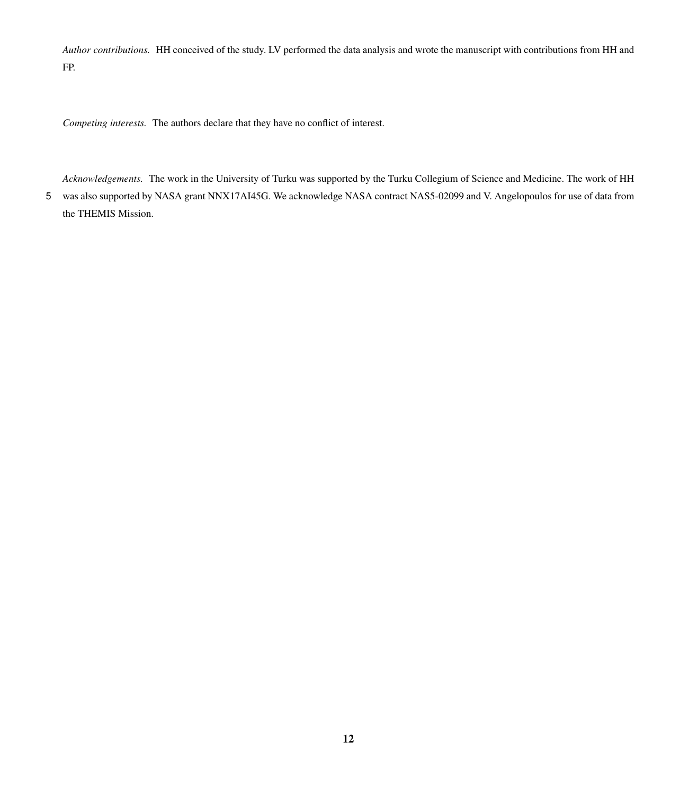*Author contributions.* HH conceived of the study. LV performed the data analysis and wrote the manuscript with contributions from HH and FP.

*Competing interests.* The authors declare that they have no conflict of interest.

*Acknowledgements.* The work in the University of Turku was supported by the Turku Collegium of Science and Medicine. The work of HH 5 was also supported by NASA grant NNX17AI45G. We acknowledge NASA contract NAS5-02099 and V. Angelopoulos for use of data from the THEMIS Mission.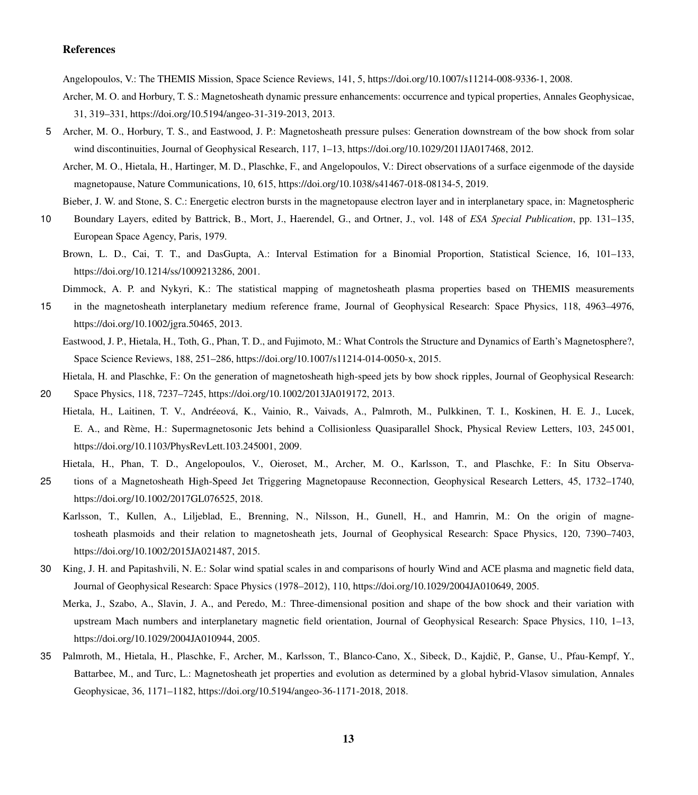# References

<span id="page-12-9"></span>Angelopoulos, V.: The THEMIS Mission, Space Science Reviews, 141, 5, https://doi.org[/10.1007/s11214-008-9336-1,](https://doi.org/10.1007/s11214-008-9336-1) 2008.

- <span id="page-12-6"></span>Archer, M. O. and Horbury, T. S.: Magnetosheath dynamic pressure enhancements: occurrence and typical properties, Annales Geophysicae, 31, 319–331, https://doi.org[/10.5194/angeo-31-319-2013,](https://doi.org/10.5194/angeo-31-319-2013) 2013.
- <span id="page-12-7"></span><span id="page-12-2"></span>5 Archer, M. O., Horbury, T. S., and Eastwood, J. P.: Magnetosheath pressure pulses: Generation downstream of the bow shock from solar wind discontinuities, Journal of Geophysical Research, 117, 1–13, https://doi.org[/10.1029/2011JA017468,](https://doi.org/10.1029/2011JA017468) 2012.
	- Archer, M. O., Hietala, H., Hartinger, M. D., Plaschke, F., and Angelopoulos, V.: Direct observations of a surface eigenmode of the dayside magnetopause, Nature Communications, 10, 615, https://doi.org[/10.1038/s41467-018-08134-5,](https://doi.org/10.1038/s41467-018-08134-5) 2019.
	- Bieber, J. W. and Stone, S. C.: Energetic electron bursts in the magnetopause electron layer and in interplanetary space, in: Magnetospheric
- <span id="page-12-14"></span><span id="page-12-11"></span>10 Boundary Layers, edited by Battrick, B., Mort, J., Haerendel, G., and Ortner, J., vol. 148 of *ESA Special Publication*, pp. 131–135, European Space Agency, Paris, 1979.
	- Brown, L. D., Cai, T. T., and DasGupta, A.: Interval Estimation for a Binomial Proportion, Statistical Science, 16, 101–133, https://doi.org[/10.1214/ss/1009213286,](https://doi.org/10.1214/ss/1009213286) 2001.
	- Dimmock, A. P. and Nykyri, K.: The statistical mapping of magnetosheath plasma properties based on THEMIS measurements
- <span id="page-12-12"></span><span id="page-12-0"></span>15 in the magnetosheath interplanetary medium reference frame, Journal of Geophysical Research: Space Physics, 118, 4963–4976, https://doi.org[/10.1002/jgra.50465,](https://doi.org/10.1002/jgra.50465) 2013.
	- Eastwood, J. P., Hietala, H., Toth, G., Phan, T. D., and Fujimoto, M.: What Controls the Structure and Dynamics of Earth's Magnetosphere?, Space Science Reviews, 188, 251–286, https://doi.org[/10.1007/s11214-014-0050-x,](https://doi.org/10.1007/s11214-014-0050-x) 2015.

<span id="page-12-8"></span>Hietala, H. and Plaschke, F.: On the generation of magnetosheath high-speed jets by bow shock ripples, Journal of Geophysical Research:

- <span id="page-12-3"></span>20 Space Physics, 118, 7237–7245, https://doi.org[/10.1002/2013JA019172,](https://doi.org/10.1002/2013JA019172) 2013.
	- Hietala, H., Laitinen, T. V., Andréeová, K., Vainio, R., Vaivads, A., Palmroth, M., Pulkkinen, T. I., Koskinen, H. E. J., Lucek, E. A., and Rème, H.: Supermagnetosonic Jets behind a Collisionless Quasiparallel Shock, Physical Review Letters, 103, 245 001, https://doi.org[/10.1103/PhysRevLett.103.245001,](https://doi.org/10.1103/PhysRevLett.103.245001) 2009.
		- Hietala, H., Phan, T. D., Angelopoulos, V., Oieroset, M., Archer, M. O., Karlsson, T., and Plaschke, F.: In Situ Observa-
- <span id="page-12-4"></span><span id="page-12-1"></span>25 tions of a Magnetosheath High-Speed Jet Triggering Magnetopause Reconnection, Geophysical Research Letters, 45, 1732–1740, https://doi.org[/10.1002/2017GL076525,](https://doi.org/10.1002/2017GL076525) 2018.
	- Karlsson, T., Kullen, A., Liljeblad, E., Brenning, N., Nilsson, H., Gunell, H., and Hamrin, M.: On the origin of magnetosheath plasmoids and their relation to magnetosheath jets, Journal of Geophysical Research: Space Physics, 120, 7390–7403, https://doi.org[/10.1002/2015JA021487,](https://doi.org/10.1002/2015JA021487) 2015.
- <span id="page-12-13"></span><span id="page-12-10"></span>30 King, J. H. and Papitashvili, N. E.: Solar wind spatial scales in and comparisons of hourly Wind and ACE plasma and magnetic field data, Journal of Geophysical Research: Space Physics (1978–2012), 110, https://doi.org[/10.1029/2004JA010649,](https://doi.org/10.1029/2004JA010649) 2005.
	- Merka, J., Szabo, A., Slavin, J. A., and Peredo, M.: Three-dimensional position and shape of the bow shock and their variation with upstream Mach numbers and interplanetary magnetic field orientation, Journal of Geophysical Research: Space Physics, 110, 1–13, https://doi.org[/10.1029/2004JA010944,](https://doi.org/10.1029/2004JA010944) 2005.
- <span id="page-12-5"></span>35 Palmroth, M., Hietala, H., Plaschke, F., Archer, M., Karlsson, T., Blanco-Cano, X., Sibeck, D., Kajdic, P., Ganse, U., Pfau-Kempf, Y., ˇ Battarbee, M., and Turc, L.: Magnetosheath jet properties and evolution as determined by a global hybrid-Vlasov simulation, Annales Geophysicae, 36, 1171–1182, https://doi.org[/10.5194/angeo-36-1171-2018,](https://doi.org/10.5194/angeo-36-1171-2018) 2018.